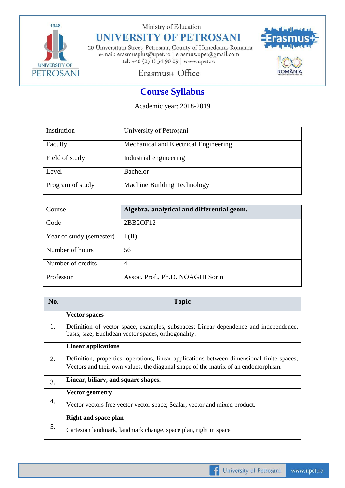

Ministry of Education

## **UNIVERSITY OF PETROSANI**

20 Universitatii Street, Petrosani, County of Hunedoara, Romania e-mail: erasmusplus@upet.ro $\mid$ erasmus.upet@gmail.com tel: +40 (254) 54 90 09 | www.upet.ro



Erasmus+ Office

## **Course Syllabus**

Academic year: 2018-2019

| Institution      | University of Petrosani               |
|------------------|---------------------------------------|
| Faculty          | Mechanical and Electrical Engineering |
| Field of study   | Industrial engineering                |
| Level            | Bachelor                              |
| Program of study | Machine Building Technology           |

| Course                   | Algebra, analytical and differential geom. |
|--------------------------|--------------------------------------------|
| Code                     | 2BB2OF12                                   |
| Year of study (semester) | I(II)                                      |
| Number of hours          | 56                                         |
| Number of credits        | 4                                          |
| Professor                | Assoc. Prof., Ph.D. NOAGHI Sorin           |

| No.              | <b>Topic</b>                                                                                                                                                                                                   |  |  |
|------------------|----------------------------------------------------------------------------------------------------------------------------------------------------------------------------------------------------------------|--|--|
| 1.               | <b>Vector spaces</b><br>Definition of vector space, examples, subspaces; Linear dependence and independence,<br>basis, size; Euclidean vector spaces, orthogonality.                                           |  |  |
| 2.               | <b>Linear applications</b><br>Definition, properties, operations, linear applications between dimensional finite spaces;<br>Vectors and their own values, the diagonal shape of the matrix of an endomorphism. |  |  |
| 3.               | Linear, biliary, and square shapes.                                                                                                                                                                            |  |  |
| $\overline{4}$ . | <b>Vector geometry</b><br>Vector vectors free vector vector space; Scalar, vector and mixed product.                                                                                                           |  |  |
| 5.               | <b>Right and space plan</b><br>Cartesian landmark, landmark change, space plan, right in space                                                                                                                 |  |  |